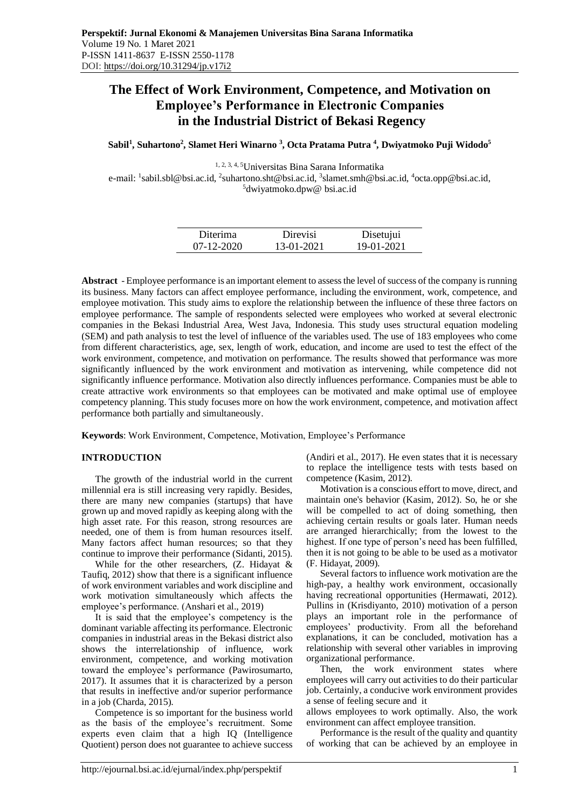# **The Effect of Work Environment, Competence, and Motivation on Employee's Performance in Electronic Companies in the Industrial District of Bekasi Regency**

**Sabil<sup>1</sup> , Suhartono<sup>2</sup> , Slamet Heri Winarno <sup>3</sup> , Octa Pratama Putra <sup>4</sup> , Dwiyatmoko Puji Widodo<sup>5</sup>**

1, 2, 3, 4, 5Universitas Bina Sarana Informatika e-mail: <sup>1</sup>[sabil.sbl@bsi.ac.id,](mailto:1sabil.sbl@bsi.ac.id) <sup>2</sup>[suhartono.sht@bsi.ac.id,](mailto:suhartono.sht@bsi.ac.id) <sup>3</sup>slamet.smh@bsi.ac.id, <sup>4</sup>octa.opp@bsi.ac.id, <sup>5</sup>dwiyatmoko.dpw@ bsi.ac.id

| Diterima         | Direvisi   | Disetujui  |
|------------------|------------|------------|
| $07 - 12 - 2020$ | 13-01-2021 | 19-01-2021 |

**Abstract** - Employee performance is an important element to assess the level of success of the company is running its business. Many factors can affect employee performance, including the environment, work, competence, and employee motivation. This study aims to explore the relationship between the influence of these three factors on employee performance. The sample of respondents selected were employees who worked at several electronic companies in the Bekasi Industrial Area, West Java, Indonesia. This study uses structural equation modeling (SEM) and path analysis to test the level of influence of the variables used. The use of 183 employees who come from different characteristics, age, sex, length of work, education, and income are used to test the effect of the work environment, competence, and motivation on performance. The results showed that performance was more significantly influenced by the work environment and motivation as intervening, while competence did not significantly influence performance. Motivation also directly influences performance. Companies must be able to create attractive work environments so that employees can be motivated and make optimal use of employee competency planning. This study focuses more on how the work environment, competence, and motivation affect performance both partially and simultaneously.

**Keywords**: Work Environment, Competence, Motivation, Employee's Performance

# **INTRODUCTION**

The growth of the industrial world in the current millennial era is still increasing very rapidly. Besides, there are many new companies (startups) that have grown up and moved rapidly as keeping along with the high asset rate. For this reason, strong resources are needed, one of them is from human resources itself. Many factors affect human resources; so that they continue to improve their performance (Sidanti, 2015).

While for the other researchers, (Z. Hidayat & Taufiq, 2012) show that there is a significant influence of work environment variables and work discipline and work motivation simultaneously which affects the employee's performance. (Anshari et al., 2019)

It is said that the employee's competency is the dominant variable affecting its performance. Electronic companies in industrial areas in the Bekasi district also shows the interrelationship of influence, work environment, competence, and working motivation toward the employee's performance (Pawirosumarto, 2017). It assumes that it is characterized by a person that results in ineffective and/or superior performance in a job (Charda, 2015).

Competence is so important for the business world as the basis of the employee's recruitment. Some experts even claim that a high IQ (Intelligence Quotient) person does not guarantee to achieve success (Andiri et al., 2017). He even states that it is necessary to replace the intelligence tests with tests based on competence (Kasim, 2012).

Motivation is a conscious effort to move, direct, and maintain one's behavior (Kasim, 2012). So, he or she will be compelled to act of doing something, then achieving certain results or goals later. Human needs are arranged hierarchically; from the lowest to the highest. If one type of person's need has been fulfilled, then it is not going to be able to be used as a motivator (F. Hidayat, 2009).

Several factors to influence work motivation are the high-pay, a healthy work environment, occasionally having recreational opportunities (Hermawati, 2012). Pullins in (Krisdiyanto, 2010) motivation of a person plays an important role in the performance of employees' productivity. From all the beforehand explanations, it can be concluded, motivation has a relationship with several other variables in improving organizational performance.

Then, the work environment states where employees will carry out activities to do their particular job. Certainly, a conducive work environment provides a sense of feeling secure and it

allows employees to work optimally. Also, the work environment can affect employee transition.

Performance is the result of the quality and quantity of working that can be achieved by an employee in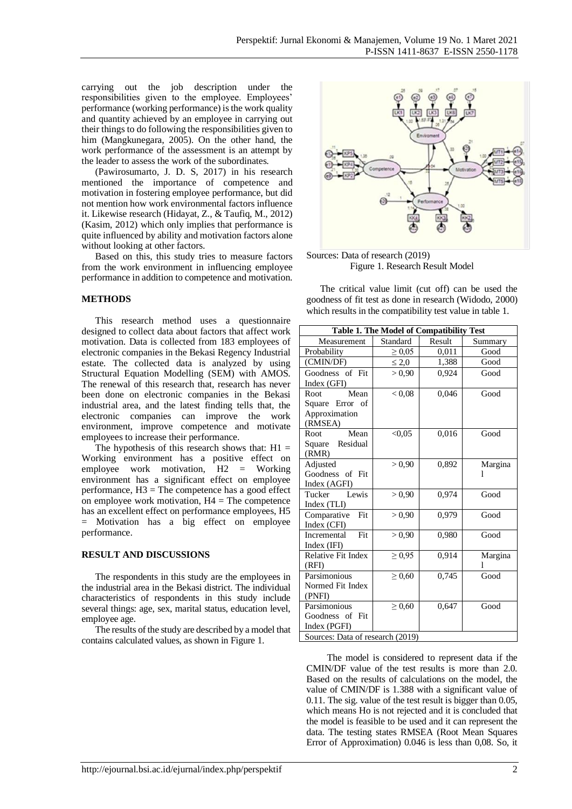carrying out the job description under the responsibilities given to the employee. Employees' performance (working performance) is the work quality and quantity achieved by an employee in carrying out their things to do following the responsibilities given to him (Mangkunegara, 2005). On the other hand, the work performance of the assessment is an attempt by the leader to assess the work of the subordinates.

(Pawirosumarto, J. D. S, 2017) in his research mentioned the importance of competence and motivation in fostering employee performance, but did not mention how work environmental factors influence it. Likewise research (Hidayat, Z., & Taufiq, M., 2012) (Kasim, 2012) which only implies that performance is quite influenced by ability and motivation factors alone without looking at other factors.

Based on this, this study tries to measure factors from the work environment in influencing employee performance in addition to competence and motivation.

### **METHODS**

This research method uses a questionnaire designed to collect data about factors that affect work motivation. Data is collected from 183 employees of electronic companies in the Bekasi Regency Industrial estate. The collected data is analyzed by using Structural Equation Modelling (SEM) with AMOS. The renewal of this research that, research has never been done on electronic companies in the Bekasi industrial area, and the latest finding tells that, the electronic companies can improve the work environment, improve competence and motivate employees to increase their performance.

The hypothesis of this research shows that:  $H1 =$ Working environment has a positive effect on employee work motivation, H2 = Working environment has a significant effect on employee performance,  $H3 =$ The competence has a good effect on employee work motivation,  $H4 = The$  competence has an excellent effect on performance employees, H5 = Motivation has a big effect on employee performance.

#### **RESULT AND DISCUSSIONS**

The respondents in this study are the employees in the industrial area in the Bekasi district. The individual characteristics of respondents in this study include several things: age, sex, marital status, education level, employee age.

The results of the study are described by a model that contains calculated values, as shown in Figure 1.



Sources: Data of research (2019) Figure 1. Research Result Model

The critical value limit (cut off) can be used the goodness of fit test as done in research (Widodo, 2000) which results in the compatibility test value in table 1.

| Table 1. The Model of Compatibility Test |             |        |         |  |  |
|------------------------------------------|-------------|--------|---------|--|--|
| Measurement                              | Standard    | Result | Summary |  |  |
| Probability                              | $\geq 0.05$ | 0,011  | Good    |  |  |
| (CMIN/DF)                                | $\leq 2,0$  | 1,388  | Good    |  |  |
| Goodness of Fit                          | > 0.90      | 0,924  | Good    |  |  |
| Index (GFI)                              |             |        |         |  |  |
| Root<br>Mean                             | < 0.08      | 0,046  | Good    |  |  |
| Square Error of                          |             |        |         |  |  |
| Approximation                            |             |        |         |  |  |
| (RMSEA)                                  |             |        |         |  |  |
| Mean<br>Root                             | < 0.05      | 0,016  | Good    |  |  |
| Residual<br>Square                       |             |        |         |  |  |
| (RMR)                                    |             |        |         |  |  |
| Adjusted                                 | > 0,90      | 0,892  | Margina |  |  |
| Goodness<br>of Fit                       |             |        |         |  |  |
| Index (AGFI)                             |             |        |         |  |  |
| Lewis<br>Tucker                          | > 0.90      | 0,974  | Good    |  |  |
| Index (TLI)                              |             |        |         |  |  |
| Fit<br>Comparative                       | > 0,90      | 0,979  | Good    |  |  |
| Index (CFI)                              |             |        |         |  |  |
| Fit<br>Incremental                       | > 0,90      | 0,980  | Good    |  |  |
| Index (IFI)                              |             |        |         |  |  |
| Relative Fit Index                       | $\geq 0.95$ | 0,914  | Margina |  |  |
| (RFI)                                    |             |        |         |  |  |
| Parsimonious                             | $\geq 0,60$ | 0,745  | Good    |  |  |
| Normed Fit Index                         |             |        |         |  |  |
| (PNFI)                                   |             |        |         |  |  |
| Parsimonious                             | $\geq 0,60$ | 0,647  | Good    |  |  |
| Goodness of Fit                          |             |        |         |  |  |
| Index (PGFI)                             |             |        |         |  |  |
| Sources: Data of research (2019)         |             |        |         |  |  |

The model is considered to represent data if the CMIN/DF value of the test results is more than 2.0. Based on the results of calculations on the model, the value of CMIN/DF is 1.388 with a significant value of 0.11. The sig. value of the test result is bigger than 0.05, which means Ho is not rejected and it is concluded that the model is feasible to be used and it can represent the data. The testing states RMSEA (Root Mean Squares Error of Approximation) 0.046 is less than 0,08. So, it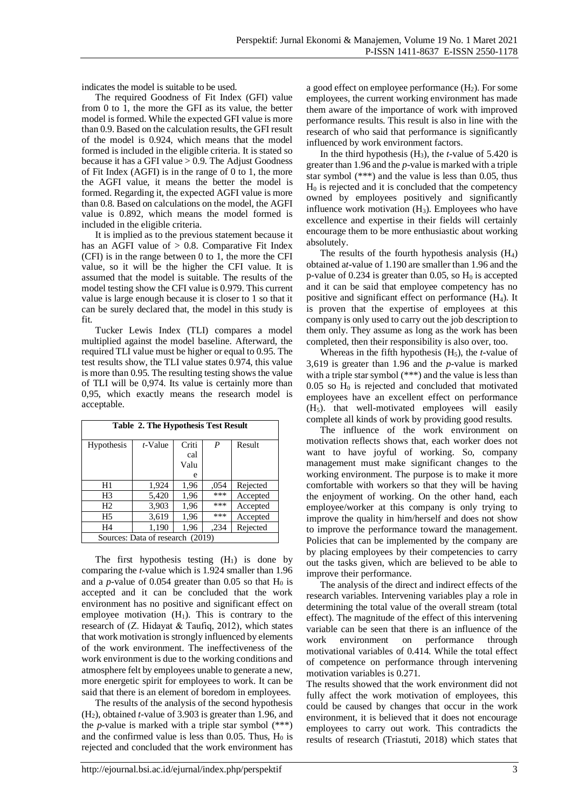indicates the model is suitable to be used.

The required Goodness of Fit Index (GFI) value from 0 to 1, the more the GFI as its value, the better model is formed. While the expected GFI value is more than 0.9. Based on the calculation results, the GFI result of the model is 0.924, which means that the model formed is included in the eligible criteria. It is stated so because it has a GFI value > 0.9. The Adjust Goodness of Fit Index (AGFI) is in the range of 0 to 1, the more the AGFI value, it means the better the model is formed. Regarding it, the expected AGFI value is more than 0.8. Based on calculations on the model, the AGFI value is 0.892, which means the model formed is included in the eligible criteria.

It is implied as to the previous statement because it has an AGFI value of  $> 0.8$ . Comparative Fit Index (CFI) is in the range between 0 to 1, the more the CFI value, so it will be the higher the CFI value. It is assumed that the model is suitable. The results of the model testing show the CFI value is 0.979. This current value is large enough because it is closer to 1 so that it can be surely declared that, the model in this study is fit.

Tucker Lewis Index (TLI) compares a model multiplied against the model baseline. Afterward, the required TLI value must be higher or equal to 0.95. The test results show, the TLI value states 0.974, this value is more than 0.95. The resulting testing shows the value of TLI will be 0,974. Its value is certainly more than 0,95, which exactly means the research model is acceptable.

| <b>Table 2. The Hypothesis Test Result</b> |            |       |      |          |  |  |
|--------------------------------------------|------------|-------|------|----------|--|--|
| <b>Hypothesis</b>                          | $t$ -Value | Criti | P    | Result   |  |  |
|                                            |            | cal   |      |          |  |  |
|                                            |            | Valu  |      |          |  |  |
|                                            |            | e     |      |          |  |  |
| H1                                         | 1,924      | 1,96  | ,054 | Rejected |  |  |
| H <sub>3</sub>                             | 5,420      | 1,96  | ***  | Accepted |  |  |
| H <sub>2</sub>                             | 3,903      | 1,96  | ***  | Accepted |  |  |
| H <sub>5</sub>                             | 3,619      | 1,96  | ***  | Accepted |  |  |
| H <sub>4</sub>                             | 1,190      | 1,96  | .234 | Rejected |  |  |
| Sources: Data of research (2019)           |            |       |      |          |  |  |

The first hypothesis testing  $(H_1)$  is done by comparing the *t-*value which is 1.924 smaller than 1.96 and a *p*-value of 0.054 greater than 0.05 so that  $H_0$  is accepted and it can be concluded that the work environment has no positive and significant effect on employee motivation  $(H_1)$ . This is contrary to the research of (Z. Hidayat & Taufiq, 2012), which states that work motivation is strongly influenced by elements of the work environment. The ineffectiveness of the work environment is due to the working conditions and atmosphere felt by employees unable to generate a new, more energetic spirit for employees to work. It can be said that there is an element of boredom in employees.

The results of the analysis of the second hypothesis (H2), obtained *t-*value of 3.903 is greater than 1.96, and the *p-*value is marked with a triple star symbol (\*\*\*) and the confirmed value is less than 0.05. Thus,  $H_0$  is rejected and concluded that the work environment has a good effect on employee performance  $(H<sub>2</sub>)$ . For some employees, the current working environment has made them aware of the importance of work with improved performance results. This result is also in line with the research of who said that performance is significantly influenced by work environment factors.

In the third hypothesis  $(H_3)$ , the *t*-value of 5.420 is greater than 1.96 and the *p-*value is marked with a triple star symbol (\*\*\*) and the value is less than 0.05, thus  $H<sub>0</sub>$  is rejected and it is concluded that the competency owned by employees positively and significantly influence work motivation  $(H_3)$ . Employees who have excellence and expertise in their fields will certainly encourage them to be more enthusiastic about working absolutely.

The results of the fourth hypothesis analysis  $(H_4)$ obtained a*t-*value of 1.190 are smaller than 1.96 and the p-value of 0.234 is greater than 0.05, so  $H_0$  is accepted and it can be said that employee competency has no positive and significant effect on performance (H4). It is proven that the expertise of employees at this company is only used to carry out the job description to them only. They assume as long as the work has been completed, then their responsibility is also over, too.

Whereas in the fifth hypothesis  $(H_5)$ , the *t*-value of 3,619 is greater than 1.96 and the *p-*value is marked with a triple star symbol (\*\*\*) and the value is less than  $0.05$  so  $H<sub>0</sub>$  is rejected and concluded that motivated employees have an excellent effect on performance (H5). that well-motivated employees will easily complete all kinds of work by providing good results.

The influence of the work environment on motivation reflects shows that, each worker does not want to have joyful of working. So, company management must make significant changes to the working environment. The purpose is to make it more comfortable with workers so that they will be having the enjoyment of working. On the other hand, each employee/worker at this company is only trying to improve the quality in him/herself and does not show to improve the performance toward the management. Policies that can be implemented by the company are by placing employees by their competencies to carry out the tasks given, which are believed to be able to improve their performance.

The analysis of the direct and indirect effects of the research variables. Intervening variables play a role in determining the total value of the overall stream (total effect). The magnitude of the effect of this intervening variable can be seen that there is an influence of the work environment on performance through motivational variables of 0.414. While the total effect of competence on performance through intervening motivation variables is 0.271.

The results showed that the work environment did not fully affect the work motivation of employees, this could be caused by changes that occur in the work environment, it is believed that it does not encourage employees to carry out work. This contradicts the results of research (Triastuti, 2018) which states that